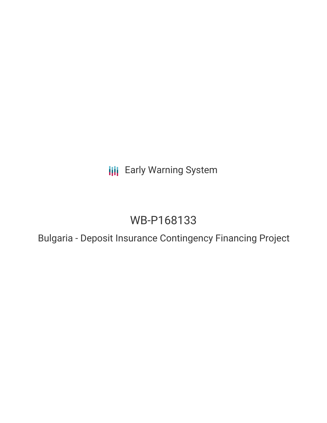**III** Early Warning System

# WB-P168133

Bulgaria - Deposit Insurance Contingency Financing Project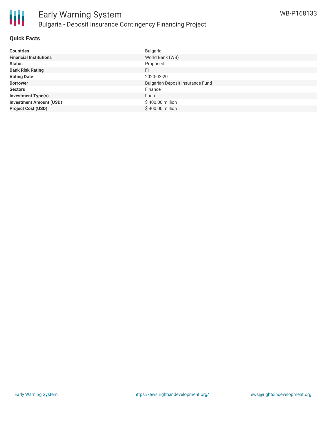

#### **Quick Facts**

| <b>Countries</b>               | <b>Bulgaria</b>                  |
|--------------------------------|----------------------------------|
| <b>Financial Institutions</b>  | World Bank (WB)                  |
| <b>Status</b>                  | Proposed                         |
| <b>Bank Risk Rating</b>        | FI                               |
| <b>Voting Date</b>             | 2020-02-20                       |
| <b>Borrower</b>                | Bulgarian Deposit Insurance Fund |
| <b>Sectors</b>                 | Finance                          |
| <b>Investment Type(s)</b>      | Loan                             |
| <b>Investment Amount (USD)</b> | \$400.00 million                 |
| <b>Project Cost (USD)</b>      | \$400.00 million                 |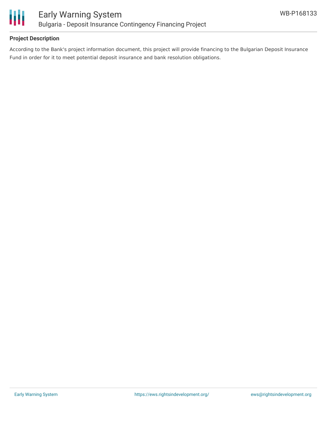

# **Project Description**

According to the Bank's project information document, this project will provide financing to the Bulgarian Deposit Insurance Fund in order for it to meet potential deposit insurance and bank resolution obligations.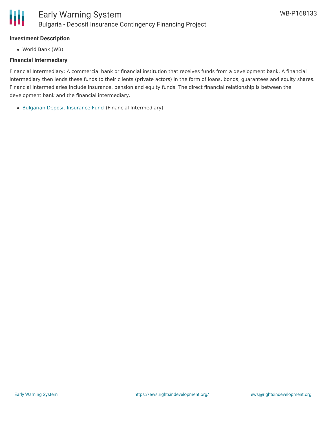# **Investment Description**

World Bank (WB)

#### **Financial Intermediary**

Financial Intermediary: A commercial bank or financial institution that receives funds from a development bank. A financial intermediary then lends these funds to their clients (private actors) in the form of loans, bonds, guarantees and equity shares. Financial intermediaries include insurance, pension and equity funds. The direct financial relationship is between the development bank and the financial intermediary.

Bulgarian Deposit [Insurance](file:///actor/2163/) Fund (Financial Intermediary)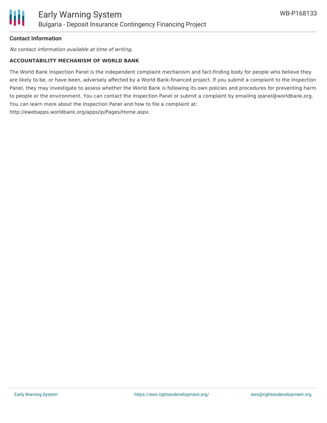# **Contact Information**

No contact information available at time of writing.

#### **ACCOUNTABILITY MECHANISM OF WORLD BANK**

The World Bank Inspection Panel is the independent complaint mechanism and fact-finding body for people who believe they are likely to be, or have been, adversely affected by a World Bank-financed project. If you submit a complaint to the Inspection Panel, they may investigate to assess whether the World Bank is following its own policies and procedures for preventing harm to people or the environment. You can contact the Inspection Panel or submit a complaint by emailing ipanel@worldbank.org. You can learn more about the Inspection Panel and how to file a complaint at: http://ewebapps.worldbank.org/apps/ip/Pages/Home.aspx.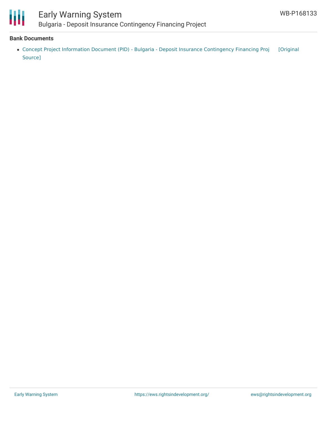

# Early Warning System Bulgaria - Deposit Insurance Contingency Financing Project

#### **Bank Documents**

Concept Project Information Document (PID) - Bulgaria - Deposit Insurance [Contingency](https://ewsdata.rightsindevelopment.org/files/documents/33/WB-P168133.pdf) Financing Proj [Original Source]